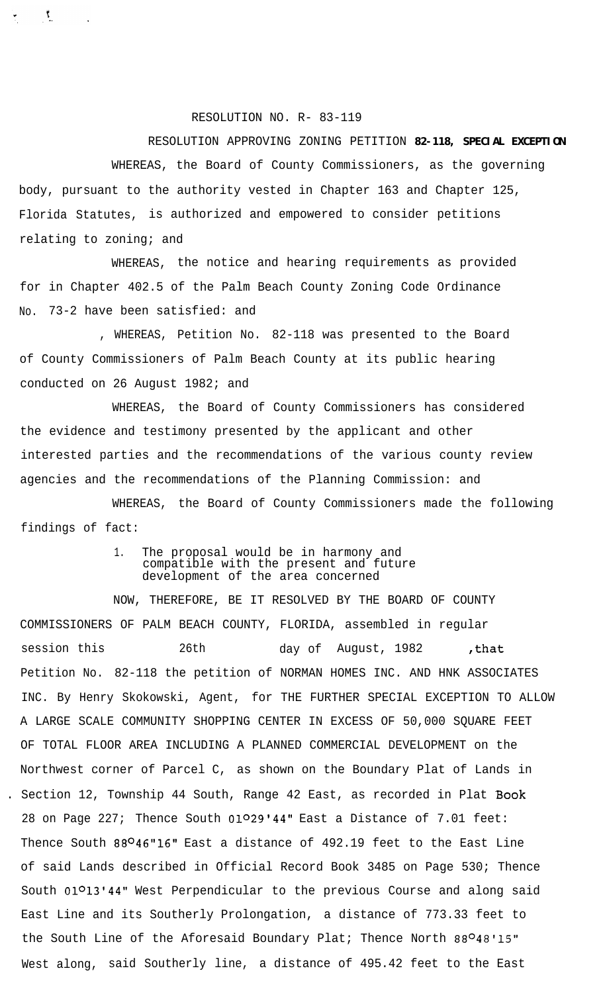## RESOLUTION NO. R- 83-119

 $\mathbf{y}$ 

## RESOLUTION APPROVING ZONING PETITION **82-118, SPECIAL EXCEPTION**

WHEREAS, the Board of County Commissioners, as the governing body, pursuant to the authority vested in Chapter 163 and Chapter 125, Florida Statutes, is authorized and empowered to consider petitions relating to zoning; and

WHEREAS, the notice and hearing requirements as provided for in Chapter 402.5 of the Palm Beach County Zoning Code Ordinance No. 73-2 have been satisfied: and

, WHEREAS, Petition No. 82-118 was presented to the Board of County Commissioners of Palm Beach County at its public hearing conducted on 26 August 1982; and

WHEREAS, the Board of County Commissioners has considered the evidence and testimony presented by the applicant and other interested parties and the recommendations of the various county review agencies and the recommendations of the Planning Commission: and

WHEREAS, the Board of County Commissioners made the following findings of fact:

## 1. The proposal would be in harmony and compatible with the present and future development of the area concerned

NOW, THEREFORE, BE IT RESOLVED BY THE BOARD OF COUNTY COMMISSIONERS OF PALM BEACH COUNTY, FLORIDA, assembled in regular session this 26th day of August, 1982 , that Petition No. 82-118 the petition of NORMAN HOMES INC. AND HNK ASSOCIATES INC. By Henry Skokowski, Agent, for THE FURTHER SPECIAL EXCEPTION TO ALLOW A LARGE SCALE COMMUNITY SHOPPING CENTER IN EXCESS OF 50,000 SQUARE FEET OF TOTAL FLOOR AREA INCLUDING A PLANNED COMMERCIAL DEVELOPMENT on the Northwest corner of Parcel C, as shown on the Boundary Plat of Lands in Section 12, Township 44 South, Range 42 East, as recorded in Plat Book 28 on Page 227; Thence South 01029'44" East a Distance of 7.01 feet: Thence South 88046"16" East a distance of 492.19 feet to the East Line of said Lands described in Official Record Book 3485 on Page 530; Thence South 01013'44" West Perpendicular to the previous Course and along said East Line and its Southerly Prolongation, a distance of 773.33 feet to the South Line of the Aforesaid Boundary Plat; Thence North 88048'15" West along, said Southerly line, a distance of 495.42 feet to the East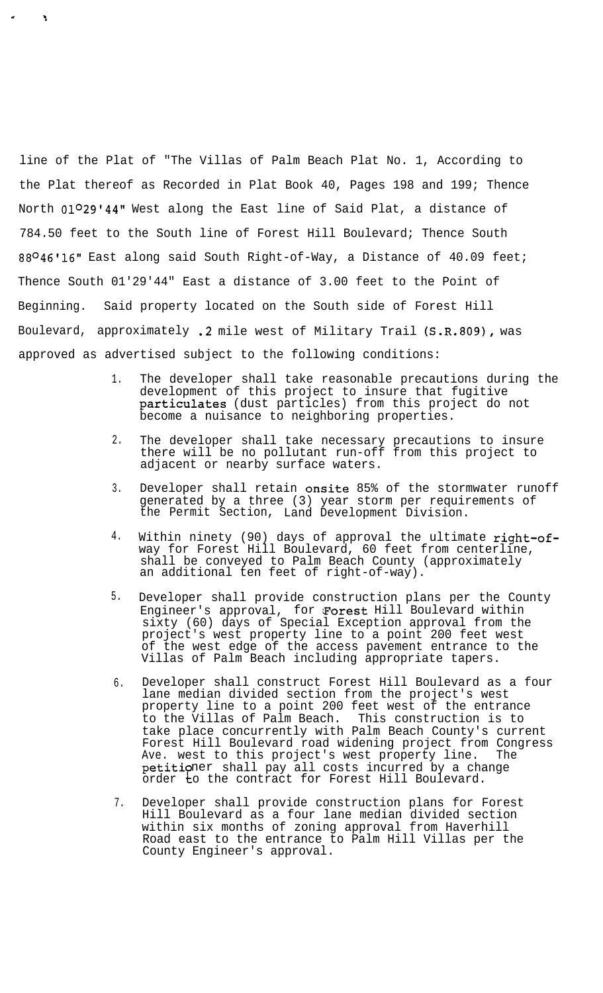line of the Plat of "The Villas of Palm Beach Plat No. 1, According to the Plat thereof as Recorded in Plat Book 40, Pages 198 and 199; Thence North 01<sup>0</sup>29'44" West along the East line of Said Plat, a distance of 784.50 feet to the South line of Forest Hill Boulevard; Thence South 88<sup>O</sup>46'16" East along said South Right-of-Way, a Distance of 40.09 feet; Thence South 01'29'44" East a distance of 3.00 feet to the Point of Beginning. Said property located on the South side of Forest Hill Boulevard, approximately .2 mile west of Military Trail (S.R.809), was approved as advertised subject to the following conditions:

I

t

- 1. The developer shall take reasonable precautions during the development of this project to insure that fugitive particulates (dust particles) from this project do not become a nuisance to neighboring properties.
- 2. The developer shall take necessary precautions to insure there will be no pollutant run-off from this project to adjacent or nearby surface waters.
- 3. Developer shall retain onsite 85% of the stormwater runoff generated by a three (3) year storm per requirements of the Permit Section, Land Development Division.
- 4. Within ninety (90) days of approval the ultimate right-ofway for Forest Hill Boulevard, 60 feet from centerline, shall be conveyed to Palm Beach County (approximately an additional ten feet of right-of-way).
- 5. Developer shall provide construction plans per the County Engineer's approval, for Forest Hill Boulevard within sixty (60) days of Special Exception approval from the project's west property line to a point 200 feet west of the west edge of the access pavement entrance to the Villas of Palm Beach including appropriate tapers.
- 6. Developer shall construct Forest Hill Boulevard as a four lane median divided section from the project's west property line to a point 200 feet west of the entrance to the Villas of Palm Beach. This construction is to take place concurrently with Palm Beach County's current Forest Hill Boulevard road widening project from Congress<br>Ave. west to this project's west property line. The Ave. west to this project's west property line. petitioner shall pay all costs incurred by a change order  $\overline{\texttt{t}}$ o the contract for Forest Hill Boulevard.
- 7. Developer shall provide construction plans for Forest Hill Boulevard as a four lane median divided section within six months of zoning approval from Haverhill Road east to the entrance to Palm Hill Villas per the County Engineer's approval.